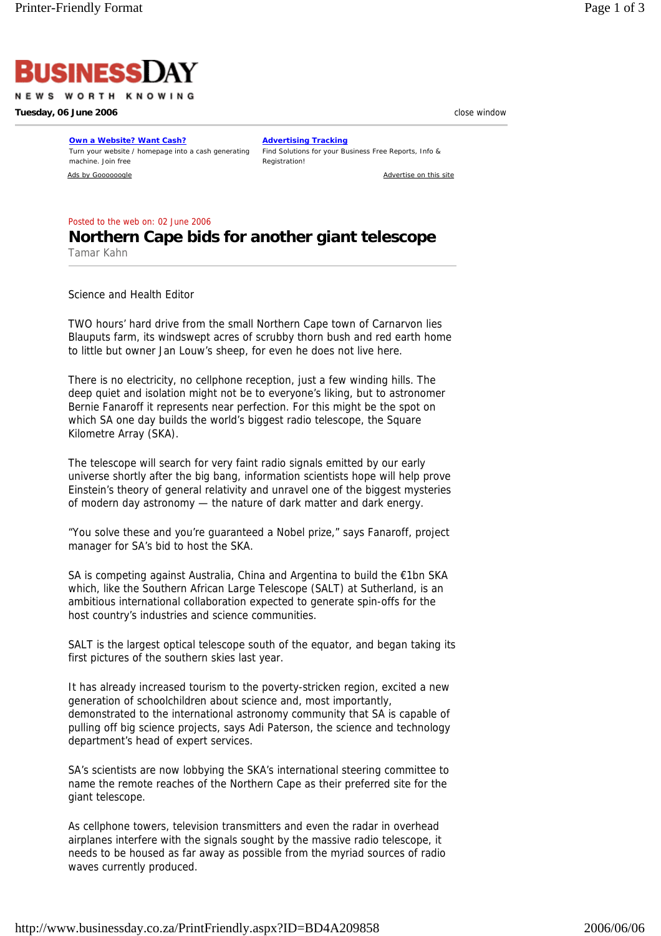

NEWS WORTH KNOWING

**Tuesday, 06 June 2006 contract the set of the set of the set of the set of the set of the set of the set of the set of the set of the set of the set of the set of the set of the set of the set of the set of the set of t** 

**Own a Website? Want Cash?** Turn your website / homepage into a cash generating machine. Join free

**Advertising Tracking** Find Solutions for your Business Free Reports, Info & Registration!

Ads by Goooooogle Advertise on this site

Posted to the web on: 02 June 2006

## **Northern Cape bids for another giant telescope**  Tamar Kahn

Science and Health Editor

TWO hours' hard drive from the small Northern Cape town of Carnarvon lies Blauputs farm, its windswept acres of scrubby thorn bush and red earth home to little but owner Jan Louw's sheep, for even he does not live here.

There is no electricity, no cellphone reception, just a few winding hills. The deep quiet and isolation might not be to everyone's liking, but to astronomer Bernie Fanaroff it represents near perfection. For this might be the spot on which SA one day builds the world's biggest radio telescope, the Square Kilometre Array (SKA).

The telescope will search for very faint radio signals emitted by our early universe shortly after the big bang, information scientists hope will help prove Einstein's theory of general relativity and unravel one of the biggest mysteries of modern day astronomy — the nature of dark matter and dark energy.

"You solve these and you're guaranteed a Nobel prize," says Fanaroff, project manager for SA's bid to host the SKA.

SA is competing against Australia, China and Argentina to build the €1bn SKA which, like the Southern African Large Telescope (SALT) at Sutherland, is an ambitious international collaboration expected to generate spin-offs for the host country's industries and science communities.

SALT is the largest optical telescope south of the equator, and began taking its first pictures of the southern skies last year.

It has already increased tourism to the poverty-stricken region, excited a new generation of schoolchildren about science and, most importantly, demonstrated to the international astronomy community that SA is capable of pulling off big science projects, says Adi Paterson, the science and technology department's head of expert services.

SA's scientists are now lobbying the SKA's international steering committee to name the remote reaches of the Northern Cape as their preferred site for the giant telescope.

As cellphone towers, television transmitters and even the radar in overhead airplanes interfere with the signals sought by the massive radio telescope, it needs to be housed as far away as possible from the myriad sources of radio waves currently produced.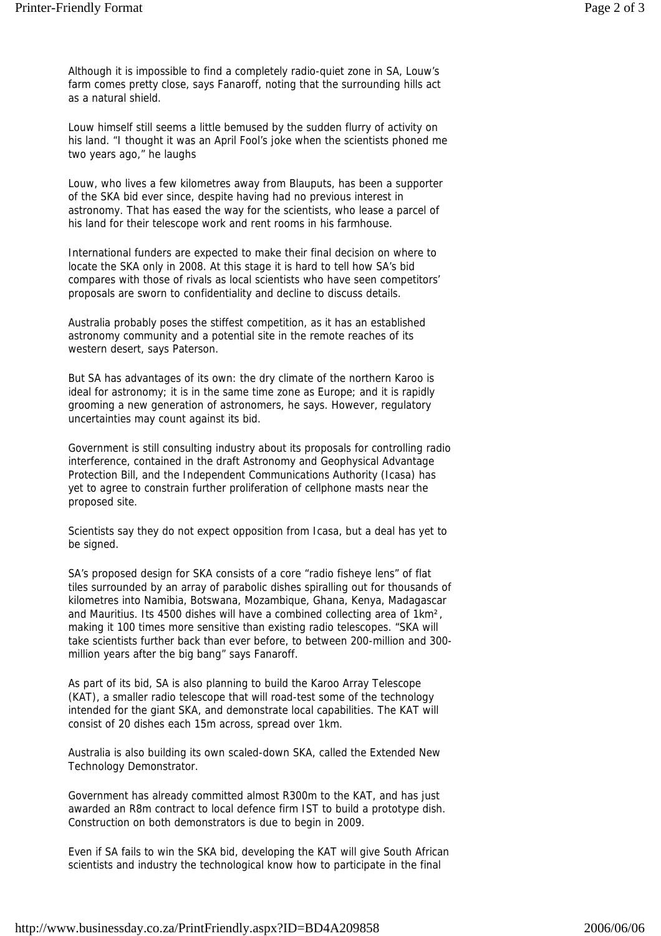Although it is impossible to find a completely radio-quiet zone in SA, Louw's farm comes pretty close, says Fanaroff, noting that the surrounding hills act as a natural shield.

Louw himself still seems a little bemused by the sudden flurry of activity on his land. "I thought it was an April Fool's joke when the scientists phoned me two years ago," he laughs

Louw, who lives a few kilometres away from Blauputs, has been a supporter of the SKA bid ever since, despite having had no previous interest in astronomy. That has eased the way for the scientists, who lease a parcel of his land for their telescope work and rent rooms in his farmhouse.

International funders are expected to make their final decision on where to locate the SKA only in 2008. At this stage it is hard to tell how SA's bid compares with those of rivals as local scientists who have seen competitors' proposals are sworn to confidentiality and decline to discuss details.

Australia probably poses the stiffest competition, as it has an established astronomy community and a potential site in the remote reaches of its western desert, says Paterson.

But SA has advantages of its own: the dry climate of the northern Karoo is ideal for astronomy; it is in the same time zone as Europe; and it is rapidly grooming a new generation of astronomers, he says. However, regulatory uncertainties may count against its bid.

Government is still consulting industry about its proposals for controlling radio interference, contained in the draft Astronomy and Geophysical Advantage Protection Bill, and the Independent Communications Authority (Icasa) has yet to agree to constrain further proliferation of cellphone masts near the proposed site.

Scientists say they do not expect opposition from Icasa, but a deal has yet to be signed.

SA's proposed design for SKA consists of a core "radio fisheye lens" of flat tiles surrounded by an array of parabolic dishes spiralling out for thousands of kilometres into Namibia, Botswana, Mozambique, Ghana, Kenya, Madagascar and Mauritius. Its 4500 dishes will have a combined collecting area of 1km², making it 100 times more sensitive than existing radio telescopes. "SKA will take scientists further back than ever before, to between 200-million and 300 million years after the big bang" says Fanaroff.

As part of its bid, SA is also planning to build the Karoo Array Telescope (KAT), a smaller radio telescope that will road-test some of the technology intended for the giant SKA, and demonstrate local capabilities. The KAT will consist of 20 dishes each 15m across, spread over 1km.

Australia is also building its own scaled-down SKA, called the Extended New Technology Demonstrator.

Government has already committed almost R300m to the KAT, and has just awarded an R8m contract to local defence firm IST to build a prototype dish. Construction on both demonstrators is due to begin in 2009.

Even if SA fails to win the SKA bid, developing the KAT will give South African scientists and industry the technological know how to participate in the final